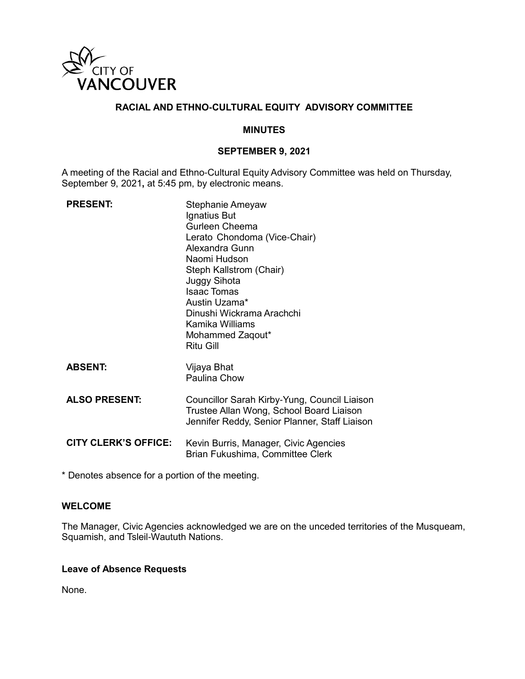

# **RACIAL AND ETHNO-CULTURAL EQUITY ADVISORY COMMITTEE**

#### **MINUTES**

### **SEPTEMBER 9, 2021**

A meeting of the Racial and Ethno-Cultural Equity Advisory Committee was held on Thursday, September 9, 2021**,** at 5:45 pm, by electronic means.

| <b>PRESENT:</b>             | Stephanie Ameyaw<br>Ignatius But<br><b>Gurleen Cheema</b><br>Lerato Chondoma (Vice-Chair)<br>Alexandra Gunn<br>Naomi Hudson<br>Steph Kallstrom (Chair)<br>Juggy Sihota<br><b>Isaac Tomas</b><br>Austin Uzama*<br>Dinushi Wickrama Arachchi<br>Kamika Williams<br>Mohammed Zaqout*<br><b>Ritu Gill</b> |
|-----------------------------|-------------------------------------------------------------------------------------------------------------------------------------------------------------------------------------------------------------------------------------------------------------------------------------------------------|
| <b>ABSENT:</b>              | Vijaya Bhat<br>Paulina Chow                                                                                                                                                                                                                                                                           |
| <b>ALSO PRESENT:</b>        | Councillor Sarah Kirby-Yung, Council Liaison<br>Trustee Allan Wong, School Board Liaison<br>Jennifer Reddy, Senior Planner, Staff Liaison                                                                                                                                                             |
| <b>CITY CLERK'S OFFICE:</b> | Kevin Burris, Manager, Civic Agencies<br>Brian Fukushima, Committee Clerk                                                                                                                                                                                                                             |

\* Denotes absence for a portion of the meeting.

## **WELCOME**

The Manager, Civic Agencies acknowledged we are on the unceded territories of the Musqueam, Squamish, and Tsleil-Waututh Nations.

#### **Leave of Absence Requests**

None.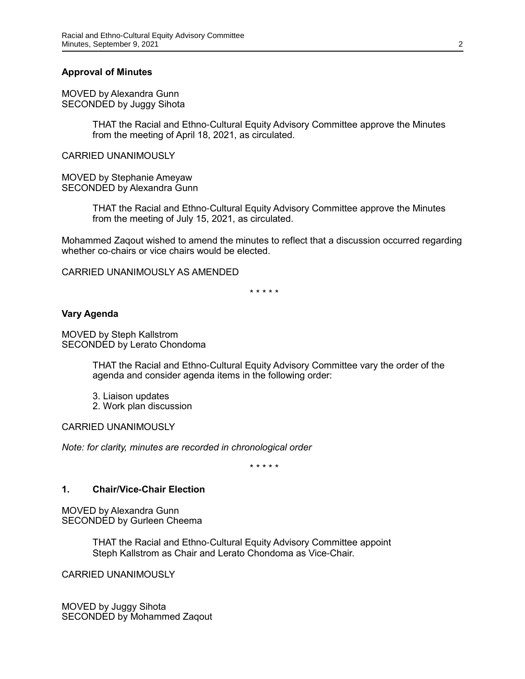### **Approval of Minutes**

MOVED by Alexandra Gunn SECONDED by Juggy Sihota

> THAT the Racial and Ethno-Cultural Equity Advisory Committee approve the Minutes from the meeting of April 18, 2021, as circulated.

CARRIED UNANIMOUSLY

MOVED by Stephanie Ameyaw SECONDED by Alexandra Gunn

> THAT the Racial and Ethno-Cultural Equity Advisory Committee approve the Minutes from the meeting of July 15, 2021, as circulated.

Mohammed Zaqout wished to amend the minutes to reflect that a discussion occurred regarding whether co-chairs or vice chairs would be elected.

CARRIED UNANIMOUSLY AS AMENDED

\* \* \* \* \*

#### **Vary Agenda**

MOVED by Steph Kallstrom SECONDED by Lerato Chondoma

> THAT the Racial and Ethno-Cultural Equity Advisory Committee vary the order of the agenda and consider agenda items in the following order:

3. Liaison updates

2. Work plan discussion

CARRIED UNANIMOUSLY

*Note: for clarity, minutes are recorded in chronological order*

\* \* \* \* \*

#### **1. Chair/Vice-Chair Election**

MOVED by Alexandra Gunn SECONDED by Gurleen Cheema

> THAT the Racial and Ethno-Cultural Equity Advisory Committee appoint Steph Kallstrom as Chair and Lerato Chondoma as Vice-Chair.

CARRIED UNANIMOUSLY

MOVED by Juggy Sihota SECONDED by Mohammed Zaqout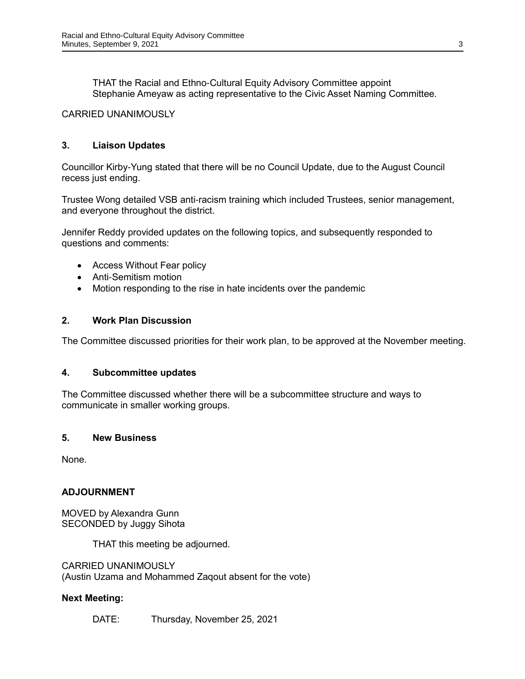THAT the Racial and Ethno-Cultural Equity Advisory Committee appoint Stephanie Ameyaw as acting representative to the Civic Asset Naming Committee.

# CARRIED UNANIMOUSLY

# **3. Liaison Updates**

Councillor Kirby-Yung stated that there will be no Council Update, due to the August Council recess just ending.

Trustee Wong detailed VSB anti-racism training which included Trustees, senior management, and everyone throughout the district.

Jennifer Reddy provided updates on the following topics, and subsequently responded to questions and comments:

- Access Without Fear policy
- Anti-Semitism motion
- Motion responding to the rise in hate incidents over the pandemic

## **2. Work Plan Discussion**

The Committee discussed priorities for their work plan, to be approved at the November meeting.

### **4. Subcommittee updates**

The Committee discussed whether there will be a subcommittee structure and ways to communicate in smaller working groups.

### **5. New Business**

None.

# **ADJOURNMENT**

MOVED by Alexandra Gunn SECONDED by Juggy Sihota

THAT this meeting be adjourned.

CARRIED UNANIMOUSLY (Austin Uzama and Mohammed Zaqout absent for the vote)

### **Next Meeting:**

DATE: Thursday, November 25, 2021